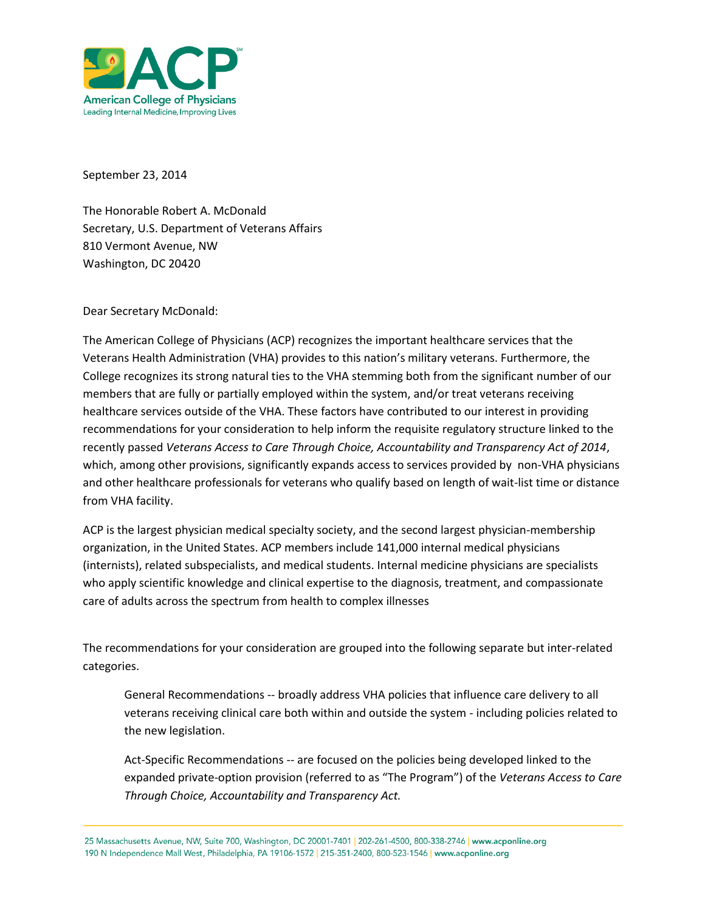

September 23, 2014

The Honorable Robert A. McDonald Secretary, U.S. Department of Veterans Affairs 810 Vermont Avenue, NW Washington, DC 20420

Dear Secretary McDonald:

The American College of Physicians (ACP) recognizes the important healthcare services that the Veterans Health Administration (VHA) provides to this nation's military veterans. Furthermore, the College recognizes its strong natural ties to the VHA stemming both from the significant number of our members that are fully or partially employed within the system, and/or treat veterans receiving healthcare services outside of the VHA. These factors have contributed to our interest in providing recommendations for your consideration to help inform the requisite regulatory structure linked to the recently passed *Veterans Access to Care Through Choice, Accountability and Transparency Act of 2014*, which, among other provisions, significantly expands access to services provided by non-VHA physicians and other healthcare professionals for veterans who qualify based on length of wait-list time or distance from VHA facility.

ACP is the largest physician medical specialty society, and the second largest physician-membership organization, in the United States. ACP members include 141,000 internal medical physicians (internists), related subspecialists, and medical students. Internal medicine physicians are specialists who apply scientific knowledge and clinical expertise to the diagnosis, treatment, and compassionate care of adults across the spectrum from health to complex illnesses

The recommendations for your consideration are grouped into the following separate but inter-related categories.

General Recommendations -- broadly address VHA policies that influence care delivery to all veterans receiving clinical care both within and outside the system - including policies related to the new legislation.

Act-Specific Recommendations -- are focused on the policies being developed linked to the expanded private-option provision (referred to as "The Program") of the *Veterans Access to Care Through Choice, Accountability and Transparency Act.*

25 Massachusetts Avenue, NW, Suite 700, Washington, DC 20001-7401 | 202-261-4500, 800-338-2746 | www.acponline.org 190 N Independence Mall West, Philadelphia, PA 19106-1572 | 215-351-2400, 800-523-1546 | www.acponline.org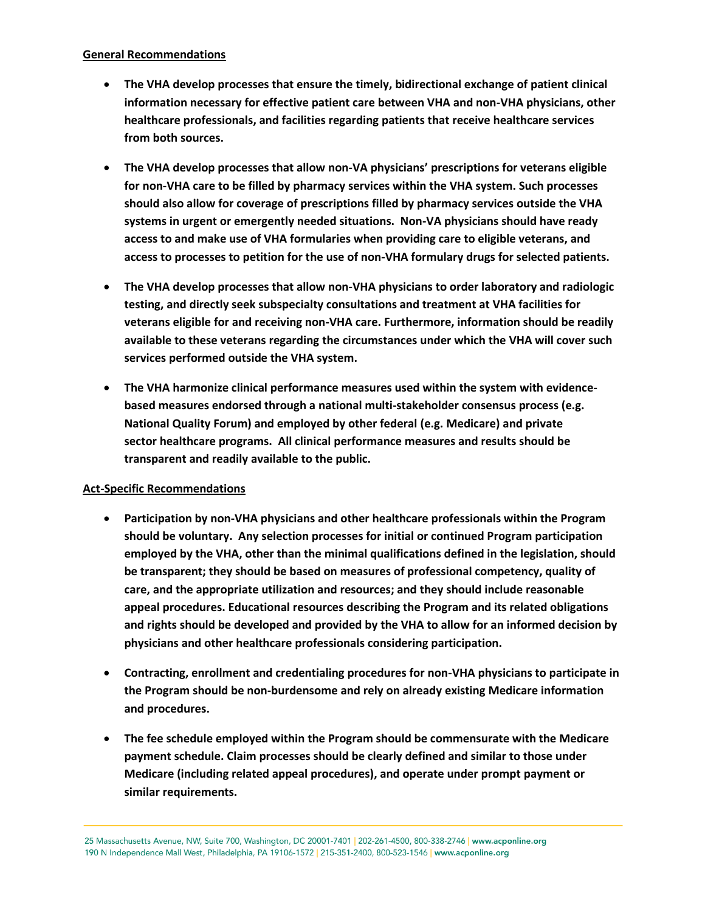## **General Recommendations**

- **The VHA develop processes that ensure the timely, bidirectional exchange of patient clinical information necessary for effective patient care between VHA and non-VHA physicians, other healthcare professionals, and facilities regarding patients that receive healthcare services from both sources.**
- **The VHA develop processes that allow non-VA physicians' prescriptions for veterans eligible for non-VHA care to be filled by pharmacy services within the VHA system. Such processes should also allow for coverage of prescriptions filled by pharmacy services outside the VHA systems in urgent or emergently needed situations. Non-VA physicians should have ready access to and make use of VHA formularies when providing care to eligible veterans, and access to processes to petition for the use of non-VHA formulary drugs for selected patients.**
- **The VHA develop processes that allow non-VHA physicians to order laboratory and radiologic testing, and directly seek subspecialty consultations and treatment at VHA facilities for veterans eligible for and receiving non-VHA care. Furthermore, information should be readily available to these veterans regarding the circumstances under which the VHA will cover such services performed outside the VHA system.**
- **The VHA harmonize clinical performance measures used within the system with evidencebased measures endorsed through a national multi-stakeholder consensus process (e.g. National Quality Forum) and employed by other federal (e.g. Medicare) and private sector healthcare programs. All clinical performance measures and results should be transparent and readily available to the public.**

## **Act-Specific Recommendations**

- **Participation by non-VHA physicians and other healthcare professionals within the Program should be voluntary. Any selection processes for initial or continued Program participation employed by the VHA, other than the minimal qualifications defined in the legislation, should be transparent; they should be based on measures of professional competency, quality of care, and the appropriate utilization and resources; and they should include reasonable appeal procedures. Educational resources describing the Program and its related obligations and rights should be developed and provided by the VHA to allow for an informed decision by physicians and other healthcare professionals considering participation.**
- **Contracting, enrollment and credentialing procedures for non-VHA physicians to participate in the Program should be non-burdensome and rely on already existing Medicare information and procedures.**
- **The fee schedule employed within the Program should be commensurate with the Medicare payment schedule. Claim processes should be clearly defined and similar to those under Medicare (including related appeal procedures), and operate under prompt payment or similar requirements.**

25 Massachusetts Avenue, NW, Suite 700, Washington, DC 20001-7401 | 202-261-4500, 800-338-2746 | www.acponline.org 190 N Independence Mall West, Philadelphia, PA 19106-1572 | 215-351-2400, 800-523-1546 | www.acponline.org